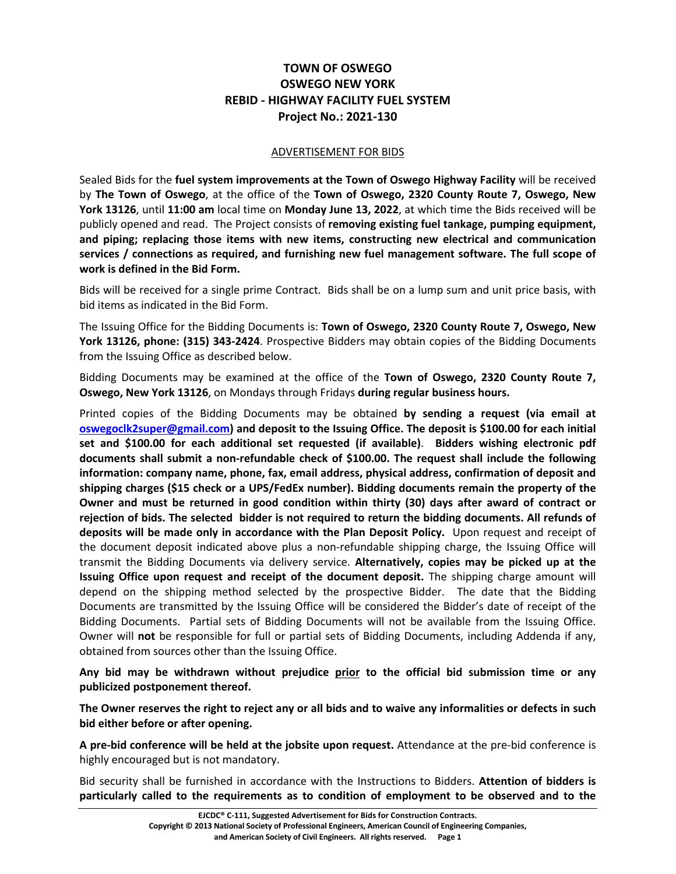## **TOWN OF OSWEGO OSWEGO NEW YORK REBID - HIGHWAY FACILITY FUEL SYSTEM Project No.: 2021-130**

## ADVERTISEMENT FOR BIDS

Sealed Bids for the **fuel system improvements at the Town of Oswego Highway Facility** will be received by **The Town of Oswego**, at the office of the **Town of Oswego, 2320 County Route 7, Oswego, New York 13126**, until **11:00 am** local time on **Monday June 13, 2022**, at which time the Bids received will be publicly opened and read. The Project consists of **removing existing fuel tankage, pumping equipment, and piping; replacing those items with new items, constructing new electrical and communication services / connections as required, and furnishing new fuel management software. The full scope of work is defined in the Bid Form.** 

Bids will be received for a single prime Contract. Bids shall be on a lump sum and unit price basis, with bid items as indicated in the Bid Form.

The Issuing Office for the Bidding Documents is: **Town of Oswego, 2320 County Route 7, Oswego, New York 13126, phone: (315) 343-2424**. Prospective Bidders may obtain copies of the Bidding Documents from the Issuing Office as described below.

Bidding Documents may be examined at the office of the **Town of Oswego, 2320 County Route 7, Oswego, New York 13126**, on Mondays through Fridays **during regular business hours.**

Printed copies of the Bidding Documents may be obtained **by sending a request (via email at oswegoclk2super@gmail.com) and deposit to the Issuing Office. The deposit is \$100.00 for each initial set and \$100.00 for each additional set requested (if available)**. **Bidders wishing electronic pdf documents shall submit a non-refundable check of \$100.00. The request shall include the following information: company name, phone, fax, email address, physical address, confirmation of deposit and shipping charges (\$15 check or a UPS/FedEx number). Bidding documents remain the property of the Owner and must be returned in good condition within thirty (30) days after award of contract or rejection of bids. The selected bidder is not required to return the bidding documents. All refunds of deposits will be made only in accordance with the Plan Deposit Policy.** Upon request and receipt of the document deposit indicated above plus a non-refundable shipping charge, the Issuing Office will transmit the Bidding Documents via delivery service. **Alternatively, copies may be picked up at the Issuing Office upon request and receipt of the document deposit.** The shipping charge amount will depend on the shipping method selected by the prospective Bidder. The date that the Bidding Documents are transmitted by the Issuing Office will be considered the Bidder's date of receipt of the Bidding Documents. Partial sets of Bidding Documents will not be available from the Issuing Office. Owner will **not** be responsible for full or partial sets of Bidding Documents, including Addenda if any, obtained from sources other than the Issuing Office.

**Any bid may be withdrawn without prejudice prior to the official bid submission time or any publicized postponement thereof.**

**The Owner reserves the right to reject any or all bids and to waive any informalities or defects in such bid either before or after opening.**

**A pre-bid conference will be held at the jobsite upon request.** Attendance at the pre-bid conference is highly encouraged but is not mandatory.

Bid security shall be furnished in accordance with the Instructions to Bidders. **Attention of bidders is particularly called to the requirements as to condition of employment to be observed and to the**